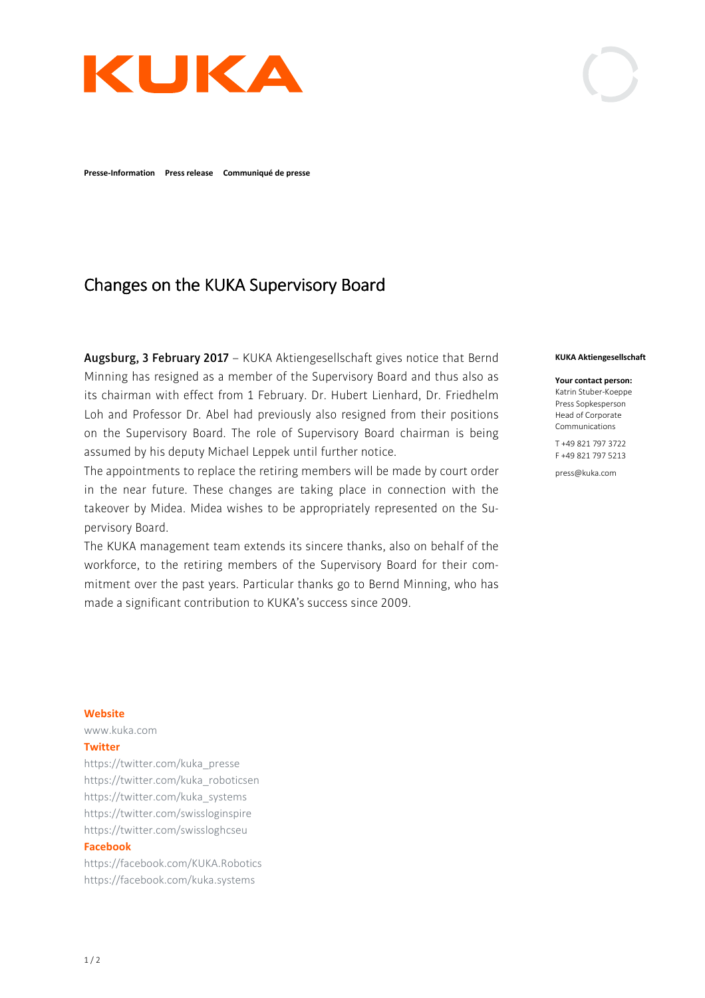

**Presse-Information Press release Communiqué de presse** 

# Changes on the KUKA Supervisory Board

**Augsburg, 3 February 2017** – KUKA Aktiengesellschaft gives notice that Bernd Minning has resigned as a member of the Supervisory Board and thus also as its chairman with effect from 1 February. Dr. Hubert Lienhard, Dr. Friedhelm Loh and Professor Dr. Abel had previously also resigned from their positions on the Supervisory Board. The role of Supervisory Board chairman is being assumed by his deputy Michael Leppek until further notice.

The appointments to replace the retiring members will be made by court order in the near future. These changes are taking place in connection with the takeover by Midea. Midea wishes to be appropriately represented on the Supervisory Board.

The KUKA management team extends its sincere thanks, also on behalf of the workforce, to the retiring members of the Supervisory Board for their commitment over the past years. Particular thanks go to Bernd Minning, who has made a significant contribution to KUKA's success since 2009.

#### **KUKA Aktiengesellschaft**

**Your contact person:** 

Katrin Stuber-Koeppe Press Sopkesperson Head of Corporate Communications

T +49 821 797 3722 F +49 821 797 5213

press@kuka.com

#### **Website**

www.kuka.com

# **Twitter**

https://twitter.com/kuka\_presse https://twitter.com/kuka\_roboticsen https://twitter.com/kuka\_systems https://twitter.com/swissloginspire https://twitter.com/swissloghcseu

### **Facebook**

https://facebook.com/KUKA.Robotics https://facebook.com/kuka.systems